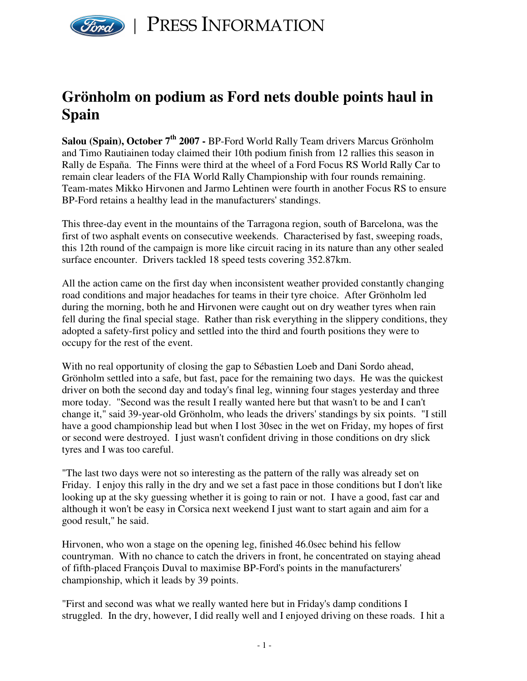

## **Grönholm on podium as Ford nets double points haul in Spain**

**Salou (Spain), October 7 th 2007 -** BP-Ford World Rally Team drivers Marcus Grönholm and Timo Rautiainen today claimed their 10th podium finish from 12 rallies this season in Rally de España. The Finns were third at the wheel of a Ford Focus RS World Rally Car to remain clear leaders of the FIA World Rally Championship with four rounds remaining. Team-mates Mikko Hirvonen and Jarmo Lehtinen were fourth in another Focus RS to ensure BP-Ford retains a healthy lead in the manufacturers' standings.

This three-day event in the mountains of the Tarragona region, south of Barcelona, was the first of two asphalt events on consecutive weekends. Characterised by fast, sweeping roads, this 12th round of the campaign is more like circuit racing in its nature than any other sealed surface encounter. Drivers tackled 18 speed tests covering 352.87km.

All the action came on the first day when inconsistent weather provided constantly changing road conditions and major headaches for teams in their tyre choice. After Grönholm led during the morning, both he and Hirvonen were caught out on dry weather tyres when rain fell during the final special stage. Rather than risk everything in the slippery conditions, they adopted a safety-first policy and settled into the third and fourth positions they were to occupy for the rest of the event.

With no real opportunity of closing the gap to Sébastien Loeb and Dani Sordo ahead, Grönholm settled into a safe, but fast, pace for the remaining two days. He was the quickest driver on both the second day and today's final leg, winning four stages yesterday and three more today. "Second was the result I really wanted here but that wasn't to be and I can't change it," said 39-year-old Grönholm, who leads the drivers' standings by six points. "I still have a good championship lead but when I lost 30sec in the wet on Friday, my hopes of first or second were destroyed. I just wasn't confident driving in those conditions on dry slick tyres and I was too careful.

"The last two days were not so interesting as the pattern of the rally was already set on Friday. I enjoy this rally in the dry and we set a fast pace in those conditions but I don't like looking up at the sky guessing whether it is going to rain or not. I have a good, fast car and although it won't be easy in Corsica next weekend I just want to start again and aim for a good result," he said.

Hirvonen, who won a stage on the opening leg, finished 46.0sec behind his fellow countryman. With no chance to catch the drivers in front, he concentrated on staying ahead of fifth-placed François Duval to maximise BP-Ford's points in the manufacturers' championship, which it leads by 39 points.

"First and second was what we really wanted here but in Friday's damp conditions I struggled. In the dry, however, I did really well and I enjoyed driving on these roads. I hit a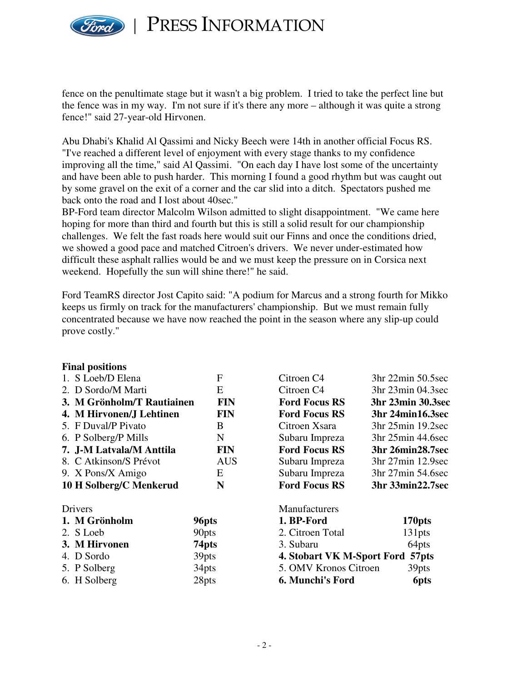

PRESS INFORMATION

fence on the penultimate stage but it wasn't a big problem. I tried to take the perfect line but the fence was in my way. I'm not sure if it's there any more – although it was quite a strong fence!" said 27-year-old Hirvonen.

Abu Dhabi's Khalid Al Qassimi and Nicky Beech were 14th in another official Focus RS. "I've reached a different level of enjoyment with every stage thanks to my confidence improving all the time," said Al Qassimi. "On each day I have lost some of the uncertainty and have been able to push harder. This morning I found a good rhythm but was caught out by some gravel on the exit of a corner and the car slid into a ditch. Spectators pushed me back onto the road and I lost about 40sec."

BP-Ford team director Malcolm Wilson admitted to slight disappointment. "We came here hoping for more than third and fourth but this is still a solid result for our championship challenges. We felt the fast roads here would suit our Finns and once the conditions dried, we showed a good pace and matched Citroen's drivers. We never under-estimated how difficult these asphalt rallies would be and we must keep the pressure on in Corsica next weekend. Hopefully the sun will shine there!" he said.

Ford TeamRS director Jost Capito said: "A podium for Marcus and a strong fourth for Mikko keeps us firmly on track for the manufacturers' championship. But we must remain fully concentrated because we have now reached the point in the season where any slip-up could prove costly."

| <b>Final positions</b>                   |                   |                                  |                     |
|------------------------------------------|-------------------|----------------------------------|---------------------|
| 1. S Loeb/D Elena                        | F                 | Citroen C <sub>4</sub>           | $3hr$ 22min 50.5sec |
| 2. D Sordo/M Marti                       | E                 | Citroen C <sub>4</sub>           | 3hr 23min 04.3sec   |
| <b>FIN</b><br>3. M Grönholm/T Rautiainen |                   | <b>Ford Focus RS</b>             | 3hr 23min 30.3sec   |
| 4. M Hirvonen/J Lehtinen                 | <b>FIN</b>        | <b>Ford Focus RS</b>             | 3hr 24min16.3sec    |
| 5. F Duval/P Pivato                      | B                 | Citroen Xsara                    | 3hr 25min 19.2sec   |
| 6. P Solberg/P Mills                     | N                 | Subaru Impreza                   | 3hr 25min 44.6sec   |
| 7. J-M Latvala/M Anttila                 | <b>FIN</b>        | <b>Ford Focus RS</b>             | 3hr 26min28.7sec    |
| 8. C Atkinson/S Prévot                   | <b>AUS</b>        | Subaru Impreza                   | 3hr 27min 12.9sec   |
| 9. X Pons/X Amigo                        | E                 | Subaru Impreza                   | 3hr 27min 54.6sec   |
| 10 H Solberg/C Menkerud                  | N                 | <b>Ford Focus RS</b>             | 3hr 33min22.7sec    |
| Drivers                                  |                   | Manufacturers                    |                     |
| 1. M Grönholm                            | 96pts             | 1. BP-Ford                       | 170pts              |
| 2. S Loeb                                | 90 <sub>pts</sub> | 2. Citroen Total                 | 131pts              |
| 3. M Hirvonen                            | 74 <sub>pts</sub> | 3. Subaru                        | 64pts               |
| 4. D Sordo                               | 39pts             | 4. Stobart VK M-Sport Ford 57pts |                     |
| 5. P Solberg                             | 34pts             | 5. OMV Kronos Citroen            | 39pts               |
| 6. H Solberg                             | 28pts             | <b>6. Munchi's Ford</b>          | 6pts                |